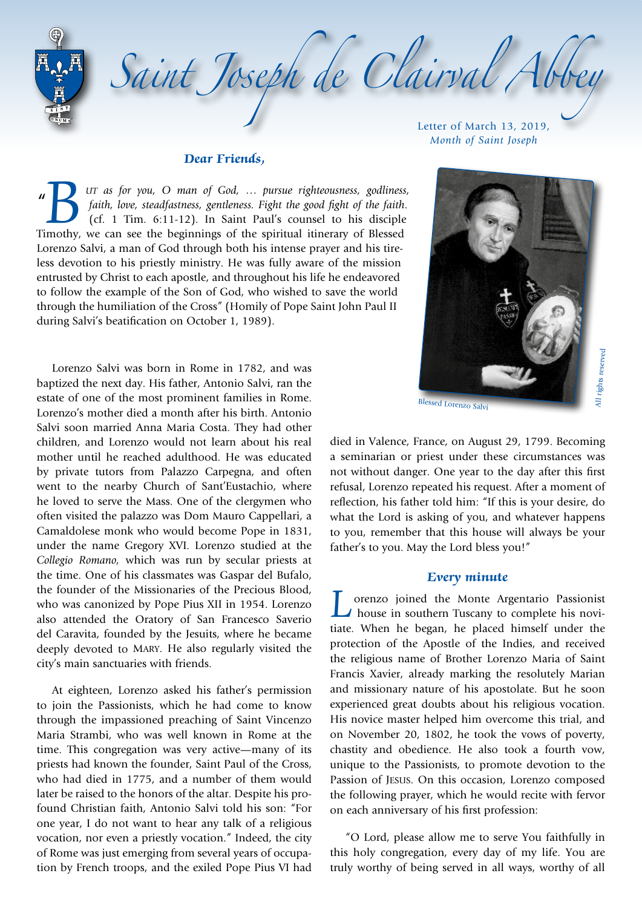Saint Joseph de Clairval Abb Letter of March 13, 2019,

## **Dear Friends,**

 $^{\prime\prime}$ **18** *utr as for you, O man of God, ... pursue righteousness, godliness, faith, love, steadfastness, gentleness. Fight the good fight of the faith.* (cf. 1 Tim. 6:11-12). In Saint Paul's counsel to his disciple Timothy, *faith, love, steadfastness, gentleness. Fight the good fight of the faith*. (cf. 1 Tim. 6:11-12). In Saint Paul's counsel to his disciple Lorenzo Salvi, a man of God through both his intense prayer and his tireless devotion to his priestly ministry. He was fully aware of the mission entrusted by Christ to each apostle, and throughout his life he endeavored to follow the example of the Son of God, who wished to save the world through the humiliation of the Cross" (Homily of Pope Saint John Paul II during Salvi's beatification on October 1, 1989).

Lorenzo Salvi was born in Rome in 1782, and was baptized the next day. His father, Antonio Salvi, ran the estate of one of the most prominent families in Rome. Lorenzo's mother died a month after his birth. Antonio Salvi soon married Anna Maria Costa. They had other children, and Lorenzo would not learn about his real mother until he reached adulthood. He was educated by private tutors from Palazzo Carpegna, and often went to the nearby Church of Sant'Eustachio, where he loved to serve the Mass. One of the clergymen who often visited the palazzo was Dom Mauro Cappellari, a Camaldolese monk who would become Pope in 1831, under the name Gregory XVI. Lorenzo studied at the *Collegio Romano,* which was run by secular priests at the time. One of his classmates was Gaspar del Bufalo, the founder of the Missionaries of the Precious Blood, who was canonized by Pope Pius XII in 1954. Lorenzo also attended the Oratory of San Francesco Saverio del Caravita, founded by the Jesuits, where he became deeply devoted to Mary. He also regularly visited the city's main sanctuaries with friends.

At eighteen, Lorenzo asked his father's permission to join the Passionists, which he had come to know through the impassioned preaching of Saint Vincenzo Maria Strambi, who was well known in Rome at the time. This congregation was very active—many of its priests had known the founder, Saint Paul of the Cross, who had died in 1775, and a number of them would later be raised to the honors of the altar. Despite his profound Christian faith, Antonio Salvi told his son: "For one year, I do not want to hear any talk of a religious vocation, nor even a priestly vocation." Indeed, the city of Rome was just emerging from several years of occupation by French troops, and the exiled Pope Pius VI had

*Month of Saint Joseph*



Blessed Lorenzo Salvi

died in Valence, France, on August 29, 1799. Becoming a seminarian or priest under these circumstances was not without danger. One year to the day after this first refusal, Lorenzo repeated his request. After a moment of reflection, his father told him: "If this is your desire, do what the Lord is asking of you, and whatever happens to you, remember that this house will always be your father's to you. May the Lord bless you!"

#### **Every minute**

Lorenzo joined the Monte Argentario Passionist<br>house in southern Tuscany to complete his novi-<br>tiste. When he hosen, he placed himself under the house in southern Tuscany to complete his novitiate. When he began, he placed himself under the protection of the Apostle of the Indies, and received the religious name of Brother Lorenzo Maria of Saint Francis Xavier, already marking the resolutely Marian and missionary nature of his apostolate. But he soon experienced great doubts about his religious vocation. His novice master helped him overcome this trial, and on November 20, 1802, he took the vows of poverty, chastity and obedience. He also took a fourth vow, unique to the Passionists, to promote devotion to the Passion of Jesus. On this occasion, Lorenzo composed the following prayer, which he would recite with fervor on each anniversary of his first profession:

"O Lord, please allow me to serve You faithfully in this holy congregation, every day of my life. You are truly worthy of being served in all ways, worthy of all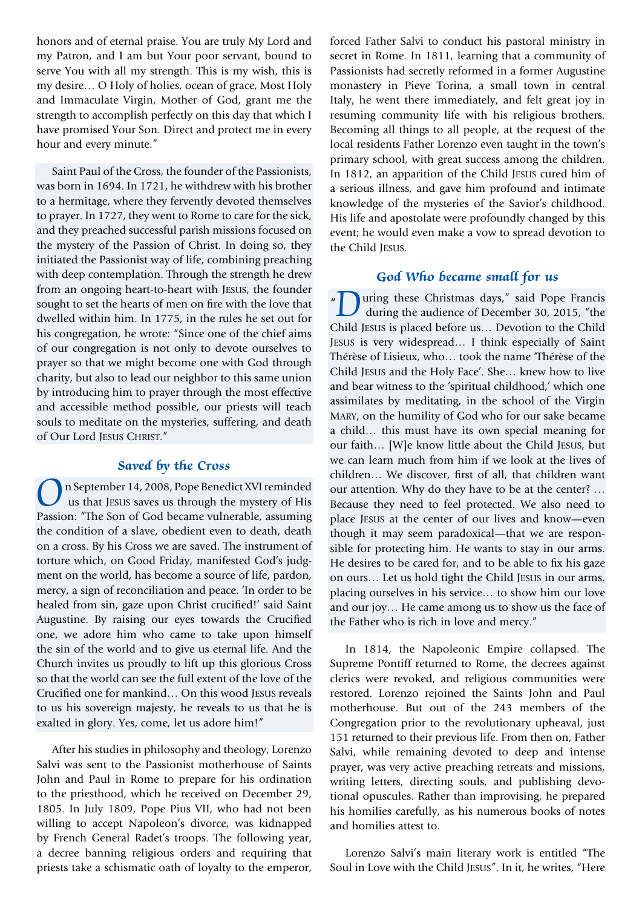honors and of eternal praise. You are truly My Lord and my Patron, and I am but Your poor servant, bound to serve You with all my strength. This is my wish, this is my desire… O Holy of holies, ocean of grace, Most Holy and Immaculate Virgin, Mother of God, grant me the strength to accomplish perfectly on this day that which I have promised Your Son. Direct and protect me in every hour and every minute."

Saint Paul of the Cross, the founder of the Passionists, was born in 1694. In 1721, he withdrew with his brother to a hermitage, where they fervently devoted themselves to prayer. In 1727, they went to Rome to care for the sick, and they preached successful parish missions focused on the mystery of the Passion of Christ. In doing so, they initiated the Passionist way of life, combining preaching with deep contemplation. Through the strength he drew from an ongoing heart-to-heart with Jesus, the founder sought to set the hearts of men on fire with the love that dwelled within him. In 1775, in the rules he set out for his congregation, he wrote: "Since one of the chief aims of our congregation is not only to devote ourselves to prayer so that we might become one with God through charity, but also to lead our neighbor to this same union by introducing him to prayer through the most effective and accessible method possible, our priests will teach souls to meditate on the mysteries, suffering, and death of Our Lord JESUS CHRIST."

## **Saved by the Cross**

n September 14, 2008, Pope Benedict XVI reminded us that Jesus saves us through the mystery of His Passion: "The Son of God became vulnerable, assuming the condition of a slave, obedient even to death, death on a cross. By his Cross we are saved. The instrument of torture which, on Good Friday, manifested God's judgment on the world, has become a source of life, pardon, mercy, a sign of reconciliation and peace. 'In order to be healed from sin, gaze upon Christ crucified!' said Saint Augustine. By raising our eyes towards the Crucified one, we adore him who came to take upon himself the sin of the world and to give us eternal life. And the Church invites us proudly to lift up this glorious Cross so that the world can see the full extent of the love of the Crucified one for mankind… On this wood Jesus reveals to us his sovereign majesty, he reveals to us that he is exalted in glory. Yes, come, let us adore him!"

After his studies in philosophy and theology, Lorenzo Salvi was sent to the Passionist motherhouse of Saints John and Paul in Rome to prepare for his ordination to the priesthood, which he received on December 29, 1805. In July 1809, Pope Pius VII, who had not been willing to accept Napoleon's divorce, was kidnapped by French General Radet's troops. The following year, a decree banning religious orders and requiring that priests take a schismatic oath of loyalty to the emperor, forced Father Salvi to conduct his pastoral ministry in secret in Rome. In 1811, learning that a community of Passionists had secretly reformed in a former Augustine monastery in Pieve Torina, a small town in central Italy, he went there immediately, and felt great joy in resuming community life with his religious brothers. Becoming all things to all people, at the request of the local residents Father Lorenzo even taught in the town's primary school, with great success among the children. In 1812, an apparition of the Child Jesus cured him of a serious illness, and gave him profound and intimate knowledge of the mysteries of the Savior's childhood. His life and apostolate were profoundly changed by this event; he would even make a vow to spread devotion to the Child Jesus.

# **God Who became small for us**

" uring these Christmas days," said Pope Francis during the audience of December 30, 2015, "the Child Jesus is placed before us… Devotion to the Child Jesus is very widespread… I think especially of Saint Thérèse of Lisieux, who… took the name 'Thérèse of the Child Jesus and the Holy Face'. She… knew how to live and bear witness to the 'spiritual childhood,' which one assimilates by meditating, in the school of the Virgin Mary, on the humility of God who for our sake became a child… this must have its own special meaning for our faith… [W]e know little about the Child Jesus, but we can learn much from him if we look at the lives of children… We discover, first of all, that children want our attention. Why do they have to be at the center? … Because they need to feel protected. We also need to place Jesus at the center of our lives and know—even though it may seem paradoxical—that we are responsible for protecting him. He wants to stay in our arms. He desires to be cared for, and to be able to fix his gaze on ours… Let us hold tight the Child Jesus in our arms, placing ourselves in his service… to show him our love and our joy… He came among us to show us the face of the Father who is rich in love and mercy."

In 1814, the Napoleonic Empire collapsed. The Supreme Pontiff returned to Rome, the decrees against clerics were revoked, and religious communities were restored. Lorenzo rejoined the Saints John and Paul motherhouse. But out of the 243 members of the Congregation prior to the revolutionary upheaval, just 151 returned to their previous life. From then on, Father Salvi, while remaining devoted to deep and intense prayer, was very active preaching retreats and missions, writing letters, directing souls, and publishing devotional opuscules. Rather than improvising, he prepared his homilies carefully, as his numerous books of notes and homilies attest to.

Lorenzo Salvi's main literary work is entitled "The Soul in Love with the Child Jesus". In it, he writes, "Here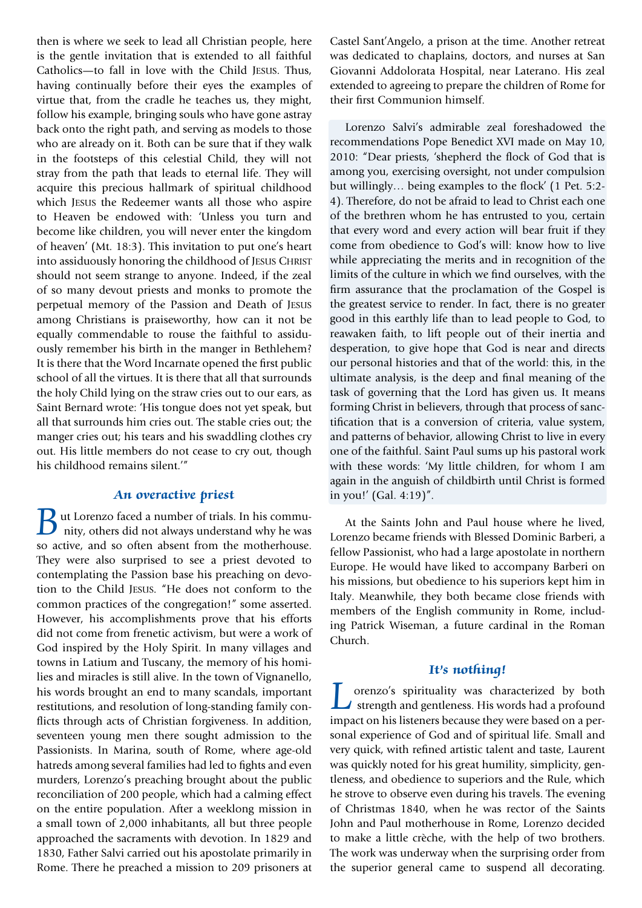then is where we seek to lead all Christian people, here is the gentle invitation that is extended to all faithful Catholics—to fall in love with the Child Jesus. Thus, having continually before their eyes the examples of virtue that, from the cradle he teaches us, they might, follow his example, bringing souls who have gone astray back onto the right path, and serving as models to those who are already on it. Both can be sure that if they walk in the footsteps of this celestial Child, they will not stray from the path that leads to eternal life. They will acquire this precious hallmark of spiritual childhood which Jesus the Redeemer wants all those who aspire to Heaven be endowed with: 'Unless you turn and become like children, you will never enter the kingdom of heaven' (Mt. 18:3). This invitation to put one's heart into assiduously honoring the childhood of JESUS CHRIST should not seem strange to anyone. Indeed, if the zeal of so many devout priests and monks to promote the perpetual memory of the Passion and Death of Jesus among Christians is praiseworthy, how can it not be equally commendable to rouse the faithful to assiduously remember his birth in the manger in Bethlehem? It is there that the Word Incarnate opened the first public school of all the virtues. It is there that all that surrounds the holy Child lying on the straw cries out to our ears, as Saint Bernard wrote: 'His tongue does not yet speak, but all that surrounds him cries out. The stable cries out; the manger cries out; his tears and his swaddling clothes cry out. His little members do not cease to cry out, though his childhood remains silent.'"

#### **An overactive priest**

ut Lorenzo faced a number of trials. In his community, others did not always understand why he was so active, and so often absent from the motherhouse. They were also surprised to see a priest devoted to contemplating the Passion base his preaching on devotion to the Child Jesus. "He does not conform to the common practices of the congregation!" some asserted. However, his accomplishments prove that his efforts did not come from frenetic activism, but were a work of God inspired by the Holy Spirit. In many villages and towns in Latium and Tuscany, the memory of his homilies and miracles is still alive. In the town of Vignanello, his words brought an end to many scandals, important restitutions, and resolution of long-standing family conflicts through acts of Christian forgiveness. In addition, seventeen young men there sought admission to the Passionists. In Marina, south of Rome, where age-old hatreds among several families had led to fights and even murders, Lorenzo's preaching brought about the public reconciliation of 200 people, which had a calming effect on the entire population. After a weeklong mission in a small town of 2,000 inhabitants, all but three people approached the sacraments with devotion. In 1829 and 1830, Father Salvi carried out his apostolate primarily in Rome. There he preached a mission to 209 prisoners at

Castel Sant'Angelo, a prison at the time. Another retreat was dedicated to chaplains, doctors, and nurses at San Giovanni Addolorata Hospital, near Laterano. His zeal extended to agreeing to prepare the children of Rome for their first Communion himself.

Lorenzo Salvi's admirable zeal foreshadowed the recommendations Pope Benedict XVI made on May 10, 2010: "Dear priests, 'shepherd the flock of God that is among you, exercising oversight, not under compulsion but willingly… being examples to the flock' (1 Pet. 5:2- 4). Therefore, do not be afraid to lead to Christ each one of the brethren whom he has entrusted to you, certain that every word and every action will bear fruit if they come from obedience to God's will: know how to live while appreciating the merits and in recognition of the limits of the culture in which we find ourselves, with the firm assurance that the proclamation of the Gospel is the greatest service to render. In fact, there is no greater good in this earthly life than to lead people to God, to reawaken faith, to lift people out of their inertia and desperation, to give hope that God is near and directs our personal histories and that of the world: this, in the ultimate analysis, is the deep and final meaning of the task of governing that the Lord has given us. It means forming Christ in believers, through that process of sanctification that is a conversion of criteria, value system, and patterns of behavior, allowing Christ to live in every one of the faithful. Saint Paul sums up his pastoral work with these words: 'My little children, for whom I am again in the anguish of childbirth until Christ is formed in you!' (Gal. 4:19)".

At the Saints John and Paul house where he lived, Lorenzo became friends with Blessed Dominic Barberi, a fellow Passionist, who had a large apostolate in northern Europe. He would have liked to accompany Barberi on his missions, but obedience to his superiors kept him in Italy. Meanwhile, they both became close friends with members of the English community in Rome, including Patrick Wiseman, a future cardinal in the Roman Church.

## **It's nothing!**

**L**orenzo's spirituality was characterized by both<br>strength and gentleness. His words had a profound<br>impact on his listeners because they were besed on a perstrength and gentleness. His words had a profound impact on his listeners because they were based on a personal experience of God and of spiritual life. Small and very quick, with refined artistic talent and taste, Laurent was quickly noted for his great humility, simplicity, gentleness, and obedience to superiors and the Rule, which he strove to observe even during his travels. The evening of Christmas 1840, when he was rector of the Saints John and Paul motherhouse in Rome, Lorenzo decided to make a little crèche, with the help of two brothers. The work was underway when the surprising order from the superior general came to suspend all decorating.